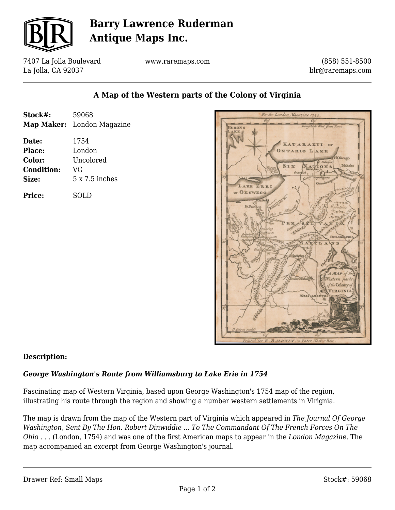

# **Barry Lawrence Ruderman Antique Maps Inc.**

7407 La Jolla Boulevard La Jolla, CA 92037

www.raremaps.com

(858) 551-8500 blr@raremaps.com

### **A Map of the Western parts of the Colony of Virginia**

| Stock#:           | 59068                      |
|-------------------|----------------------------|
|                   | Map Maker: London Magazine |
| Date:             | 1754                       |
| Place:            | London                     |
| Color:            | Uncolored                  |
| <b>Condition:</b> | VG                         |
| Size:             | $5 \times 7.5$ inches      |
| Price:            | SOLD                       |



#### **Description:**

#### *George Washington's Route from Williamsburg to Lake Erie in 1754*

Fascinating map of Western Virginia, based upon George Washington's 1754 map of the region, illustrating his route through the region and showing a number western settlements in Virignia.

The map is drawn from the map of the Western part of Virginia which appeared in *The Journal Of George Washington, Sent By The Hon. Robert Dinwiddie ... To The Commandant Of The French Forces On The Ohio . . .* (London, 1754) and was one of the first American maps to appear in the *London Magazine*. The map accompanied an excerpt from George Washington's journal.